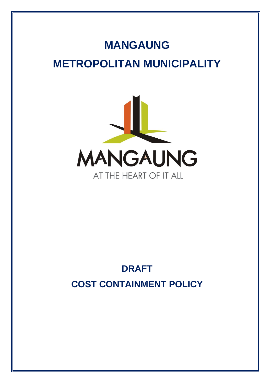# **MANGAUNG METROPOLITAN MUNICIPALITY**



## **DRAFT COST CONTAINMENT POLICY**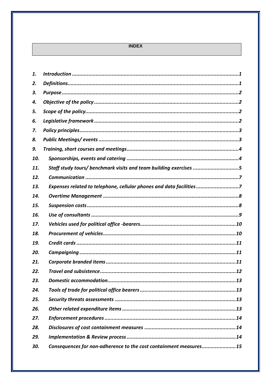#### **INDEX**

| 1.  |                                                                     |
|-----|---------------------------------------------------------------------|
| 2.  |                                                                     |
| 3.  |                                                                     |
| 4.  |                                                                     |
| 5.  |                                                                     |
| 6.  |                                                                     |
| 7.  |                                                                     |
| 8.  |                                                                     |
| 9.  |                                                                     |
| 10. |                                                                     |
| 11. | Staff study tours/ benchmark visits and team building exercises 5   |
| 12. |                                                                     |
| 13. | Expenses related to telephone, cellular phones and data facilities7 |
| 14. |                                                                     |
| 15. |                                                                     |
| 16. |                                                                     |
| 17. |                                                                     |
| 18. |                                                                     |
| 19. |                                                                     |
| 20. |                                                                     |
| 21. |                                                                     |
| 22. |                                                                     |
| 23. |                                                                     |
| 24. |                                                                     |
| 25. |                                                                     |
| 26. |                                                                     |
|     |                                                                     |
| 27. |                                                                     |
| 28. |                                                                     |
| 29. |                                                                     |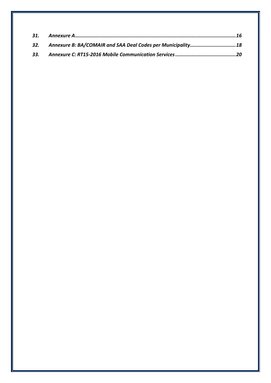| 32. Annexure B: BA/COMAIR and SAA Deal Codes per Municipality 18 |  |
|------------------------------------------------------------------|--|
|                                                                  |  |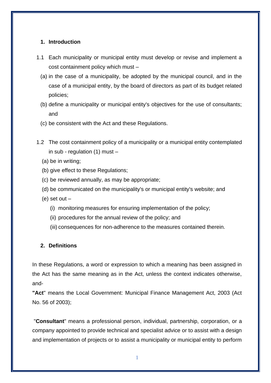#### <span id="page-3-0"></span>**1. Introduction**

- 1.1 Each municipality or municipal entity must develop or revise and implement a cost containment policy which must –
	- (a) in the case of a municipality, be adopted by the municipal council, and in the case of a municipal entity, by the board of directors as part of its budget related policies;
	- (b) define a municipality or municipal entity's objectives for the use of consultants; and
	- (c) be consistent with the Act and these Regulations.
- 1.2 The cost containment policy of a municipality or a municipal entity contemplated in sub - regulation  $(1)$  must  $-$ 
	- (a) be in writing;
	- (b) give effect to these Regulations;
	- (c) be reviewed annually, as may be appropriate;
	- (d) be communicated on the municipality's or municipal entity's website; and
	- (e) set out
		- (i) monitoring measures for ensuring implementation of the policy;
		- (ii) procedures for the annual review of the policy; and
		- (iii) consequences for non-adherence to the measures contained therein.

#### <span id="page-3-1"></span>**2. Definitions**

In these Regulations, a word or expression to which a meaning has been assigned in the Act has the same meaning as in the Act, unless the context indicates otherwise, and-

**"Act**" means the Local Government: Municipal Finance Management Act, 2003 (Act No. 56 of 2003);

"**Consultant**" means a professional person, individual, partnership, corporation, or a company appointed to provide technical and specialist advice or to assist with a design and implementation of projects or to assist a municipality or municipal entity to perform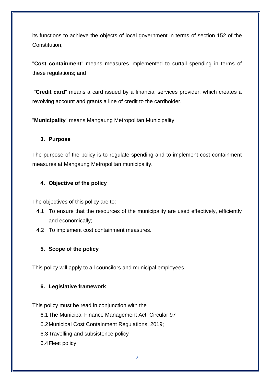its functions to achieve the objects of local government in terms of section 152 of the Constitution;

"**Cost containment**" means measures implemented to curtail spending in terms of these regulations; and

"**Credit card**" means a card issued by a financial services provider, which creates a revolving account and grants a line of credit to the cardholder.

"**Municipality**" means Mangaung Metropolitan Municipality

## <span id="page-4-0"></span>**3. Purpose**

The purpose of the policy is to regulate spending and to implement cost containment measures at Mangaung Metropolitan municipality.

## <span id="page-4-1"></span>**4. Objective of the policy**

The objectives of this policy are to:

- 4.1 To ensure that the resources of the municipality are used effectively, efficiently and economically;
- 4.2 To implement cost containment measures.

## <span id="page-4-2"></span>**5. Scope of the policy**

This policy will apply to all councilors and municipal employees.

## <span id="page-4-3"></span>**6. Legislative framework**

This policy must be read in conjunction with the

- 6.1The Municipal Finance Management Act, Circular 97
- 6.2Municipal Cost Containment Regulations, 2019;
- 6.3Travelling and subsistence policy
- 6.4Fleet policy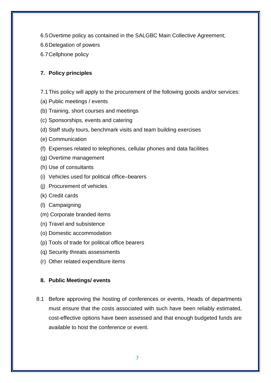- 6.5Overtime policy as contained in the SALGBC Main Collective Agreement;
- 6.6Delegation of powers
- 6.7Cellphone policy

## <span id="page-5-0"></span>**7. Policy principles**

- 7.1This policy will apply to the procurement of the following goods and/or services:
- (a) Public meetings / events
- (b) Training, short courses and meetings
- (c) Sponsorships, events and catering
- (d) Staff study tours, benchmark visits and team building exercises
- (e) Communication
- (f) Expenses related to telephones, cellular phones and data facilities
- (g) Overtime management
- (h) Use of consultants
- (i) Vehicles used for political office–bearers
- (j) Procurement of vehicles
- (k) Credit cards
- (l) Campaigning
- (m) Corporate branded items
- (n) Travel and subsistence
- (o) Domestic accommodation
- (p) Tools of trade for political office bearers
- (q) Security threats assessments
- (r) Other related expenditure items

## <span id="page-5-1"></span>**8. Public Meetings/ events**

8.1 Before approving the hosting of conferences or events, Heads of departments must ensure that the costs associated with such have been reliably estimated, cost-effective options have been assessed and that enough budgeted funds are available to host the conference or event.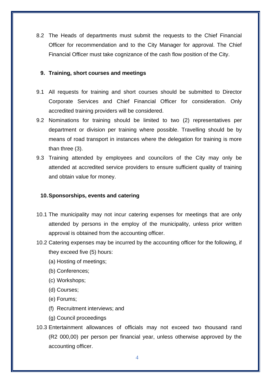8.2 The Heads of departments must submit the requests to the Chief Financial Officer for recommendation and to the City Manager for approval. The Chief Financial Officer must take cognizance of the cash flow position of the City.

## <span id="page-6-0"></span>**9. Training, short courses and meetings**

- 9.1 All requests for training and short courses should be submitted to Director Corporate Services and Chief Financial Officer for consideration. Only accredited training providers will be considered.
- 9.2 Nominations for training should be limited to two (2) representatives per department or division per training where possible. Travelling should be by means of road transport in instances where the delegation for training is more than three (3).
- 9.3 Training attended by employees and councilors of the City may only be attended at accredited service providers to ensure sufficient quality of training and obtain value for money.

## <span id="page-6-1"></span>**10.Sponsorships, events and catering**

- 10.1 The municipality may not incur catering expenses for meetings that are only attended by persons in the employ of the municipality, unless prior written approval is obtained from the accounting officer.
- 10.2 Catering expenses may be incurred by the accounting officer for the following, if they exceed five (5) hours:
	- (a) Hosting of meetings;
	- (b) Conferences;
	- (c) Workshops;
	- (d) Courses;
	- (e) Forums;
	- (f) Recruitment interviews; and
	- (g) Council proceedings
- 10.3 Entertainment allowances of officials may not exceed two thousand rand (R2 000,00) per person per financial year, unless otherwise approved by the accounting officer.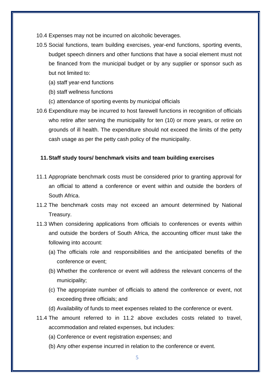- 10.4 Expenses may not be incurred on alcoholic beverages.
- 10.5 Social functions, team building exercises, year-end functions, sporting events, budget speech dinners and other functions that have a social element must not be financed from the municipal budget or by any supplier or sponsor such as but not limited to:
	- (a) staff year-end functions
	- (b) staff wellness functions
	- (c) attendance of sporting events by municipal officials
- 10.6 Expenditure may be incurred to host farewell functions in recognition of officials who retire after serving the municipality for ten (10) or more years, or retire on grounds of ill health. The expenditure should not exceed the limits of the petty cash usage as per the petty cash policy of the municipality.

## <span id="page-7-0"></span>**11.Staff study tours/ benchmark visits and team building exercises**

- 11.1 Appropriate benchmark costs must be considered prior to granting approval for an official to attend a conference or event within and outside the borders of South Africa.
- 11.2 The benchmark costs may not exceed an amount determined by National Treasury.
- 11.3 When considering applications from officials to conferences or events within and outside the borders of South Africa, the accounting officer must take the following into account:
	- (a) The officials role and responsibilities and the anticipated benefits of the conference or event;
	- (b) Whether the conference or event will address the relevant concerns of the municipality;
	- (c) The appropriate number of officials to attend the conference or event, not exceeding three officials; and
	- (d) Availability of funds to meet expenses related to the conference or event.
- 11.4 The amount referred to in 11.2 above excludes costs related to travel, accommodation and related expenses, but includes:
	- (a) Conference or event registration expenses; and
	- (b) Any other expense incurred in relation to the conference or event.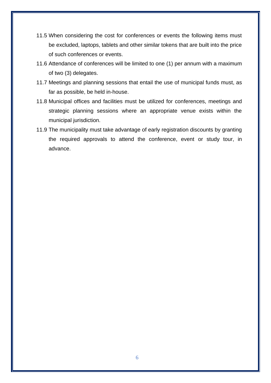- 11.5 When considering the cost for conferences or events the following items must be excluded, laptops, tablets and other similar tokens that are built into the price of such conferences or events.
- 11.6 Attendance of conferences will be limited to one (1) per annum with a maximum of two (3) delegates.
- 11.7 Meetings and planning sessions that entail the use of municipal funds must, as far as possible, be held in-house.
- 11.8 Municipal offices and facilities must be utilized for conferences, meetings and strategic planning sessions where an appropriate venue exists within the municipal jurisdiction.
- 11.9 The municipality must take advantage of early registration discounts by granting the required approvals to attend the conference, event or study tour, in advance.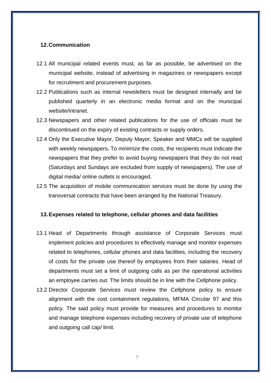#### <span id="page-9-0"></span>**12.Communication**

- 12.1 All municipal related events must, as far as possible, be advertised on the municipal website, instead of advertising in magazines or newspapers except for recruitment and procurement purposes.
- 12.2 Publications such as internal newsletters must be designed internally and be published quarterly in an electronic media format and on the municipal website/intranet.
- 12.3 Newspapers and other related publications for the use of officials must be discontinued on the expiry of existing contracts or supply orders.
- 12.4 Only the Executive Mayor, Deputy Mayor, Speaker and MMCs will be supplied with weekly newspapers**.** To minimize the costs, the recipients must indicate the newspapers that they prefer to avoid buying newspapers that they do not read (Saturdays and Sundays are excluded from supply of newspapers). The use of digital media/ online outlets is encouraged.
- 12.5 The acquisition of mobile communication services must be done by using the transversal contracts that have been arranged by the National Treasury.

#### <span id="page-9-1"></span>**13.Expenses related to telephone, cellular phones and data facilities**

- 13.1 Head of Departments through assistance of Corporate Services must implement policies and procedures to effectively manage and monitor expenses related to telephones, cellular phones and data facilities, including the recovery of costs for the private use thereof by employees from their salaries. Head of departments must set a limit of outgoing calls as per the operational activities an employee carries out. The limits should be in line with the Cellphone policy.
- 13.2 Director Corporate Services must review the Cellphone policy to ensure alignment with the cost containment regulations, MFMA Circular 97 and this policy. The said policy must provide for measures and procedures to monitor and manage telephone expenses including recovery of private use of telephone and outgoing call cap/ limit.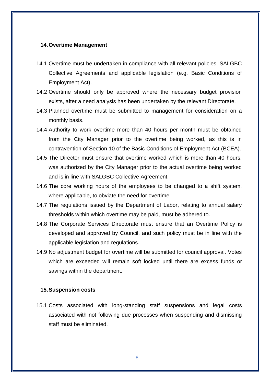#### <span id="page-10-0"></span>**14.Overtime Management**

- 14.1 Overtime must be undertaken in compliance with all relevant policies, SALGBC Collective Agreements and applicable legislation (e.g. Basic Conditions of Employment Act).
- 14.2 Overtime should only be approved where the necessary budget provision exists, after a need analysis has been undertaken by the relevant Directorate.
- 14.3 Planned overtime must be submitted to management for consideration on a monthly basis.
- 14.4 Authority to work overtime more than 40 hours per month must be obtained from the City Manager prior to the overtime being worked, as this is in contravention of Section 10 of the Basic Conditions of Employment Act (BCEA).
- 14.5 The Director must ensure that overtime worked which is more than 40 hours, was authorized by the City Manager prior to the actual overtime being worked and is in line with SALGBC Collective Agreement.
- 14.6 The core working hours of the employees to be changed to a shift system, where applicable, to obviate the need for overtime.
- 14.7 The regulations issued by the Department of Labor, relating to annual salary thresholds within which overtime may be paid, must be adhered to.
- 14.8 The Corporate Services Directorate must ensure that an Overtime Policy is developed and approved by Council, and such policy must be in line with the applicable legislation and regulations.
- 14.9 No adjustment budget for overtime will be submitted for council approval. Votes which are exceeded will remain soft locked until there are excess funds or savings within the department.

#### <span id="page-10-1"></span>**15.Suspension costs**

15.1 Costs associated with long-standing staff suspensions and legal costs associated with not following due processes when suspending and dismissing staff must be eliminated.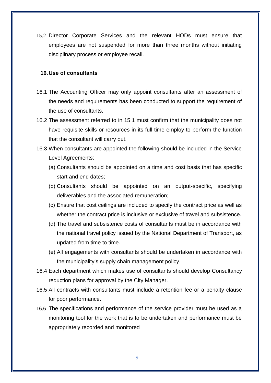15.2 Director Corporate Services and the relevant HODs must ensure that employees are not suspended for more than three months without initiating disciplinary process or employee recall.

#### <span id="page-11-0"></span>**16.Use of consultants**

- 16.1 The Accounting Officer may only appoint consultants after an assessment of the needs and requirements has been conducted to support the requirement of the use of consultants.
- 16.2 The assessment referred to in 15.1 must confirm that the municipality does not have requisite skills or resources in its full time employ to perform the function that the consultant will carry out.
- 16.3 When consultants are appointed the following should be included in the Service Level Agreements:
	- (a) Consultants should be appointed on a time and cost basis that has specific start and end dates;
	- (b) Consultants should be appointed on an output-specific, specifying deliverables and the associated remuneration;
	- (c) Ensure that cost ceilings are included to specify the contract price as well as whether the contract price is inclusive or exclusive of travel and subsistence.
	- (d) The travel and subsistence costs of consultants must be in accordance with the national travel policy issued by the National Department of Transport, as updated from time to time.
	- (e) All engagements with consultants should be undertaken in accordance with the municipality's supply chain management policy.
- 16.4 Each department which makes use of consultants should develop Consultancy reduction plans for approval by the City Manager.
- 16.5 All contracts with consultants must include a retention fee or a penalty clause for poor performance.
- 16.6 The specifications and performance of the service provider must be used as a monitoring tool for the work that is to be undertaken and performance must be appropriately recorded and monitored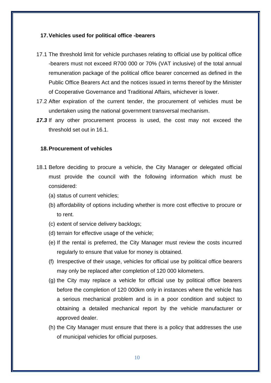#### <span id="page-12-0"></span>**17.Vehicles used for political office -bearers**

- 17.1 The threshold limit for vehicle purchases relating to official use by political office -bearers must not exceed R700 000 or 70% (VAT inclusive) of the total annual remuneration package of the political office bearer concerned as defined in the Public Office Bearers Act and the notices issued in terms thereof by the Minister of Cooperative Governance and Traditional Affairs, whichever is lower.
- 17.2 After expiration of the current tender, the procurement of vehicles must be undertaken using the national government transversal mechanism.
- *17.3* If any other procurement process is used, the cost may not exceed the threshold set out in 16.1.

#### <span id="page-12-1"></span>**18.Procurement of vehicles**

- 18.1 Before deciding to procure a vehicle, the City Manager or delegated official must provide the council with the following information which must be considered:
	- (a) status of current vehicles;
	- (b) affordability of options including whether is more cost effective to procure or to rent.
	- (c) extent of service delivery backlogs;
	- (d) terrain for effective usage of the vehicle;
	- (e) If the rental is preferred, the City Manager must review the costs incurred regularly to ensure that value for money is obtained.
	- (f) Irrespective of their usage, vehicles for official use by political office bearers may only be replaced after completion of 120 000 kilometers.
	- (g) the City may replace a vehicle for official use by political office bearers before the completion of 120 000km only in instances where the vehicle has a serious mechanical problem and is in a poor condition and subject to obtaining a detailed mechanical report by the vehicle manufacturer or approved dealer.
	- (h) the City Manager must ensure that there is a policy that addresses the use of municipal vehicles for official purposes.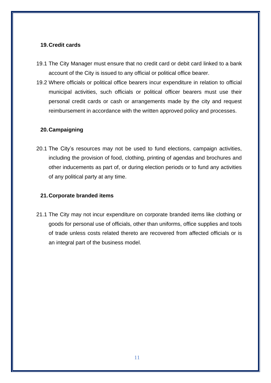## <span id="page-13-0"></span>**19.Credit cards**

- 19.1 The City Manager must ensure that no credit card or debit card linked to a bank account of the City is issued to any official or political office bearer.
- 19.2 Where officials or political office bearers incur expenditure in relation to official municipal activities, such officials or political officer bearers must use their personal credit cards or cash or arrangements made by the city and request reimbursement in accordance with the written approved policy and processes.

## <span id="page-13-1"></span>**20.Campaigning**

20.1 The City's resources may not be used to fund elections, campaign activities, including the provision of food, clothing, printing of agendas and brochures and other inducements as part of, or during election periods or to fund any activities of any political party at any time.

## <span id="page-13-2"></span>**21.Corporate branded items**

21.1 The City may not incur expenditure on corporate branded items like clothing or goods for personal use of officials, other than uniforms, office supplies and tools of trade unless costs related thereto are recovered from affected officials or is an integral part of the business model.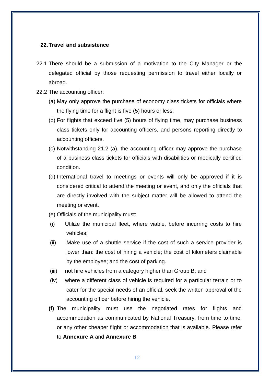#### <span id="page-14-0"></span>**22.Travel and subsistence**

- 22.1 There should be a submission of a motivation to the City Manager or the delegated official by those requesting permission to travel either locally or abroad.
- 22.2 The accounting officer:
	- (a) May only approve the purchase of economy class tickets for officials where the flying time for a flight is five (5) hours or less;
	- (b) For flights that exceed five (5) hours of flying time, may purchase business class tickets only for accounting officers, and persons reporting directly to accounting officers.
	- (c) Notwithstanding 21.2 (a), the accounting officer may approve the purchase of a business class tickets for officials with disabilities or medically certified condition.
	- (d) International travel to meetings or events will only be approved if it is considered critical to attend the meeting or event, and only the officials that are directly involved with the subject matter will be allowed to attend the meeting or event.
	- (e) Officials of the municipality must:
	- (i) Utilize the municipal fleet, where viable, before incurring costs to hire vehicles;
	- (ii) Make use of a shuttle service if the cost of such a service provider is lower than: the cost of hiring a vehicle; the cost of kilometers claimable by the employee; and the cost of parking.
	- (iii) not hire vehicles from a category higher than Group B; and
	- (iv) where a different class of vehicle is required for a particular terrain or to cater for the special needs of an official, seek the written approval of the accounting officer before hiring the vehicle.
	- **(f)** The municipality must use the negotiated rates for flights and accommodation as communicated by National Treasury, from time to time, or any other cheaper flight or accommodation that is available. Please refer to **Annexure A** and **Annexure B**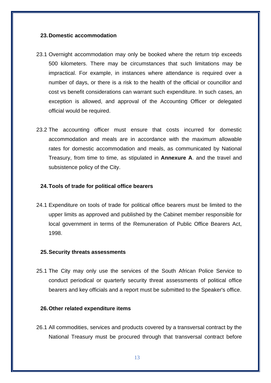#### <span id="page-15-0"></span>**23.Domestic accommodation**

- 23.1 Overnight accommodation may only be booked where the return trip exceeds 500 kilometers. There may be circumstances that such limitations may be impractical. For example, in instances where attendance is required over a number of days, or there is a risk to the health of the official or councillor and cost vs benefit considerations can warrant such expenditure. In such cases, an exception is allowed, and approval of the Accounting Officer or delegated official would be required.
- 23.2 The accounting officer must ensure that costs incurred for domestic accommodation and meals are in accordance with the maximum allowable rates for domestic accommodation and meals, as communicated by National Treasury, from time to time, as stipulated in **Annexure A**. and the travel and subsistence policy of the City.

#### <span id="page-15-1"></span>**24.Tools of trade for political office bearers**

24.1 Expenditure on tools of trade for political office bearers must be limited to the upper limits as approved and published by the Cabinet member responsible for local government in terms of the Remuneration of Public Office Bearers Act, 1998.

#### <span id="page-15-2"></span>**25.Security threats assessments**

25.1 The City may only use the services of the South African Police Service to conduct periodical or quarterly security threat assessments of political office bearers and key officials and a report must be submitted to the Speaker's office.

#### <span id="page-15-3"></span>**26.Other related expenditure items**

26.1 All commodities, services and products covered by a transversal contract by the National Treasury must be procured through that transversal contract before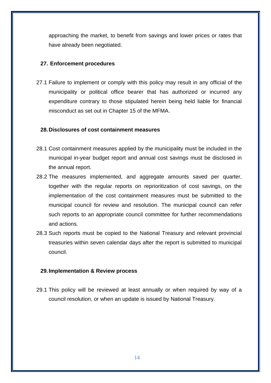approaching the market, to benefit from savings and lower prices or rates that have already been negotiated.

## <span id="page-16-0"></span>**27. Enforcement procedures**

27.1 Failure to implement or comply with this policy may result in any official of the municipality or political office bearer that has authorized or incurred any expenditure contrary to those stipulated herein being held liable for financial misconduct as set out in Chapter 15 of the MFMA.

#### <span id="page-16-1"></span>**28.Disclosures of cost containment measures**

- 28.1 Cost containment measures applied by the municipality must be included in the municipal in-year budget report and annual cost savings must be disclosed in the annual report.
- 28.2 The measures implemented, and aggregate amounts saved per quarter, together with the regular reports on reprioritization of cost savings, on the implementation of the cost containment measures must be submitted to the municipal council for review and resolution. The municipal council can refer such reports to an appropriate council committee for further recommendations and actions.
- 28.3 Such reports must be copied to the National Treasury and relevant provincial treasuries within seven calendar days after the report is submitted to municipal council.

## <span id="page-16-2"></span>**29.Implementation & Review process**

29.1 This policy will be reviewed at least annually or when required by way of a council resolution, or when an update is issued by National Treasury.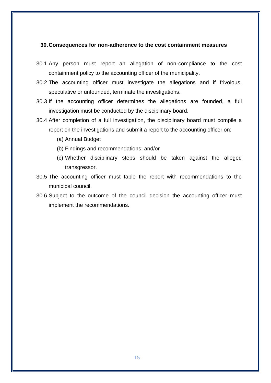#### <span id="page-17-0"></span>**30.Consequences for non-adherence to the cost containment measures**

- 30.1 Any person must report an allegation of non-compliance to the cost containment policy to the accounting officer of the municipality.
- 30.2 The accounting officer must investigate the allegations and if frivolous, speculative or unfounded, terminate the investigations.
- 30.3 If the accounting officer determines the allegations are founded, a full investigation must be conducted by the disciplinary board.
- 30.4 After completion of a full investigation, the disciplinary board must compile a report on the investigations and submit a report to the accounting officer on:
	- (a) Annual Budget
	- (b) Findings and recommendations; and/or
	- (c) Whether disciplinary steps should be taken against the alleged transgressor.
- 30.5 The accounting officer must table the report with recommendations to the municipal council.
- 30.6 Subject to the outcome of the council decision the accounting officer must implement the recommendations.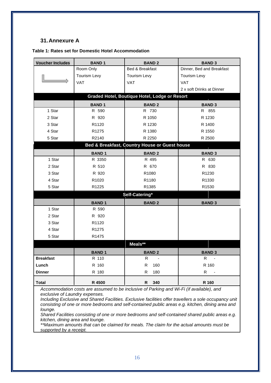## <span id="page-18-0"></span>**31.Annexure A**

| <b>Voucher Includes</b>                                                                                                                                                                                                                                                                                                                             | <b>BAND1</b>        | <b>BAND2</b>                                  | <b>BAND 3</b>             |  |  |
|-----------------------------------------------------------------------------------------------------------------------------------------------------------------------------------------------------------------------------------------------------------------------------------------------------------------------------------------------------|---------------------|-----------------------------------------------|---------------------------|--|--|
|                                                                                                                                                                                                                                                                                                                                                     | Room Only           | Bed & Breakfast                               | Dinner, Bed and Breakfast |  |  |
|                                                                                                                                                                                                                                                                                                                                                     | <b>Tourism Levy</b> | <b>Tourism Levy</b>                           | Tourism Levy              |  |  |
|                                                                                                                                                                                                                                                                                                                                                     | <b>VAT</b>          | <b>VAT</b>                                    | <b>VAT</b>                |  |  |
|                                                                                                                                                                                                                                                                                                                                                     |                     |                                               | 2 x soft Drinks at Dinner |  |  |
|                                                                                                                                                                                                                                                                                                                                                     |                     | Graded Hotel, Boutique Hotel, Lodge or Resort |                           |  |  |
|                                                                                                                                                                                                                                                                                                                                                     | <b>BAND1</b>        | <b>BAND2</b>                                  | <b>BAND 3</b>             |  |  |
| 1 Star                                                                                                                                                                                                                                                                                                                                              | R 590               | R 730                                         | R 855                     |  |  |
| 2 Star                                                                                                                                                                                                                                                                                                                                              | R 920               | R 1050                                        | R 1230                    |  |  |
| 3 Star                                                                                                                                                                                                                                                                                                                                              | R1120               | R 1230                                        | R 1400                    |  |  |
| 4 Star                                                                                                                                                                                                                                                                                                                                              | R <sub>1275</sub>   | R 1380                                        | R 1550                    |  |  |
| 5 Star                                                                                                                                                                                                                                                                                                                                              | R2140               | R 2250                                        | R 2500                    |  |  |
|                                                                                                                                                                                                                                                                                                                                                     |                     | Bed & Breakfast, Country House or Guest house |                           |  |  |
|                                                                                                                                                                                                                                                                                                                                                     | <b>BAND1</b>        | <b>BAND2</b>                                  | <b>BAND 3</b>             |  |  |
| 1 Star                                                                                                                                                                                                                                                                                                                                              | R 3350              | R 495                                         | R 630                     |  |  |
| 2 Star                                                                                                                                                                                                                                                                                                                                              | R 510               | R 670                                         | R 830                     |  |  |
| 3 Star                                                                                                                                                                                                                                                                                                                                              | R 920               | R1080                                         | R <sub>1230</sub>         |  |  |
| 4 Star                                                                                                                                                                                                                                                                                                                                              | R1020               | R1180                                         | R1330                     |  |  |
| 5 Star                                                                                                                                                                                                                                                                                                                                              | R1225               | R1385                                         | R1530                     |  |  |
|                                                                                                                                                                                                                                                                                                                                                     |                     | Self-Catering*                                |                           |  |  |
|                                                                                                                                                                                                                                                                                                                                                     | <b>BAND1</b>        | <b>BAND2</b>                                  | <b>BAND 3</b>             |  |  |
| 1 Star                                                                                                                                                                                                                                                                                                                                              | R 590               |                                               |                           |  |  |
| 2 Star                                                                                                                                                                                                                                                                                                                                              | R 920               |                                               |                           |  |  |
| 3 Star                                                                                                                                                                                                                                                                                                                                              | R1120               |                                               |                           |  |  |
| 4 Star                                                                                                                                                                                                                                                                                                                                              | R <sub>1275</sub>   |                                               |                           |  |  |
| 5 Star                                                                                                                                                                                                                                                                                                                                              | R1475               |                                               |                           |  |  |
|                                                                                                                                                                                                                                                                                                                                                     |                     | Meals**                                       |                           |  |  |
|                                                                                                                                                                                                                                                                                                                                                     | <b>BAND1</b>        | <b>BAND2</b>                                  | <b>BAND 3</b>             |  |  |
| <b>Breakfast</b>                                                                                                                                                                                                                                                                                                                                    | R 110               | R                                             | R                         |  |  |
| Lunch                                                                                                                                                                                                                                                                                                                                               | R 160               | R<br>160                                      | R 160                     |  |  |
| <b>Dinner</b>                                                                                                                                                                                                                                                                                                                                       | R 180               | 180<br>R                                      | R                         |  |  |
| <b>Total</b>                                                                                                                                                                                                                                                                                                                                        | R 4500              | 340<br>R                                      | R 160                     |  |  |
| Accommodation costs are assumed to be inclusive of Parking and Wi-Fi (if available), and<br>exclusive of Laundry expenses.<br>Including Exclusive and Shared Facilities. Exclusive facilities offer travellers a sole occupancy unit<br>consisting of one or more bedrooms and self-contained public areas e.g. kitchen, dining area and<br>lounge. |                     |                                               |                           |  |  |

*Shared Facilities consisting of one or more bedrooms and self-contained shared public areas e.g. kitchen, dining area and lounge.*

*\*\*Maximum amounts that can be claimed for meals. The claim for the actual amounts must be supported by a receipt.*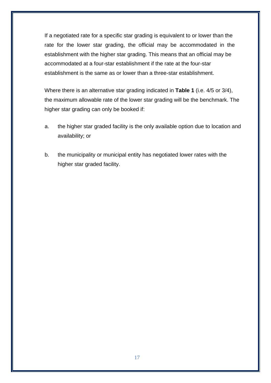If a negotiated rate for a specific star grading is equivalent to or lower than the rate for the lower star grading, the official may be accommodated in the establishment with the higher star grading. This means that an official may be accommodated at a four-star establishment if the rate at the four-star establishment is the same as or lower than a three-star establishment.

Where there is an alternative star grading indicated in **Table 1** (i.e. 4/5 or 3/4), the maximum allowable rate of the lower star grading will be the benchmark. The higher star grading can only be booked if:

- a. the higher star graded facility is the only available option due to location and availability; or
- b. the municipality or municipal entity has negotiated lower rates with the higher star graded facility.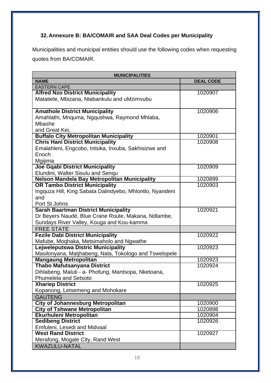## <span id="page-20-0"></span>**32.Annexure B: BA/COMAIR and SAA Deal Codes per Municipality**

Municipalities and municipal entities should use the following codes when requesting quotes from BA/COMAIR.

| <b>MUNICIPALITIES</b>                                    |                  |  |  |
|----------------------------------------------------------|------------------|--|--|
| <b>NAME</b>                                              | <b>DEAL CODE</b> |  |  |
| <b>EASTERN CAPE</b>                                      |                  |  |  |
| <b>Alfred Nzo District Municipality</b>                  | 1020907          |  |  |
| Matatiele, Mbizana, Ntabankulu and uMzimvubu             |                  |  |  |
|                                                          |                  |  |  |
| <b>Amathole District Municipality</b>                    | 1020906          |  |  |
| Amahlathi, Mnquma, Ngqushwa, Raymond Mhlaba,             |                  |  |  |
| Mbashe                                                   |                  |  |  |
| and Great Kei,                                           |                  |  |  |
| <b>Buffalo City Metropolitan Municipality</b>            | 1020901          |  |  |
| <b>Chris Hani District Municipality</b>                  | 1020908          |  |  |
| Emalahleni, Engcobo, Intsika, Inxuba, Sakhisizwe and     |                  |  |  |
| Enoch                                                    |                  |  |  |
| Mgijima                                                  |                  |  |  |
| <b>Joe Gqabi District Municipality</b>                   | 1020909          |  |  |
| Elundini, Walter Sisulu and Senqu                        |                  |  |  |
| Nelson Mandela Bay Metropolitan Municipality             | 1020899          |  |  |
| <b>OR Tambo District Municipality</b>                    | 1020903          |  |  |
| Ingquza Hill, King Sabata Dalindyebo, Mhlontlo, Nyandeni |                  |  |  |
| and                                                      |                  |  |  |
| Port St Johns                                            |                  |  |  |
| <b>Sarah Baartman District Municipality</b>              | 1020921          |  |  |
| Dr Beyers Naudé, Blue Crane Route, Makana, Ndlambe,      |                  |  |  |
| Sundays River Valley, Kouga and Kou-kamma                |                  |  |  |
| <b>FREE STATE</b>                                        |                  |  |  |
| <b>Fezile Dabi District Municipality</b>                 | 1020922          |  |  |
| Mafube, Moqhaka, Metsimaholo and Ngwathe                 |                  |  |  |
| Lejweleputswa Distric Municipality                       | 1020923          |  |  |
| Masilonyana, Matjhabeng, Nala, Tokologo and Tswelopele   |                  |  |  |
| <b>Mangaung Metropolitan</b>                             | 1020923          |  |  |
| <b>Thabo Mafutsanyana District</b>                       | 1020924          |  |  |
| Dihlabeng, Maluti - a- Phofung, Mantsopa, Nketoana,      |                  |  |  |
| <b>Phumelela and Setsoto</b>                             |                  |  |  |
| <b>Xhariep District</b>                                  | 1020925          |  |  |
| Kopanong, Letsemeng and Mohokare                         |                  |  |  |
| <b>GAUTENG</b>                                           |                  |  |  |
| <b>City of Johannesburg Metropolitan</b>                 | 1020900          |  |  |
| <b>City of Tshwane Metropolitan</b>                      | 1020898          |  |  |
| Ekurhuleni Metropolitan                                  | 1020904          |  |  |
| <b>Sedibeng District</b>                                 | 1020926          |  |  |
| Emfuleni, Lesedi and Midvaal                             |                  |  |  |
| <b>West Rand District</b>                                | 1020927          |  |  |
| Merafong, Mogale City, Rand West                         |                  |  |  |
| <b>KWAZULU-NATAL</b>                                     |                  |  |  |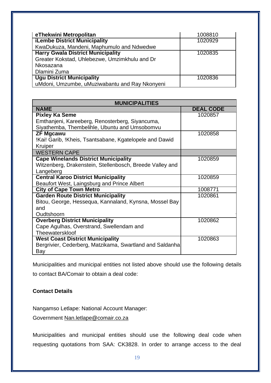| eThekwini Metropolitan                         | 1008810 |
|------------------------------------------------|---------|
| <b>iLembe District Municipality</b>            | 1020929 |
| KwaDukuza, Mandeni, Maphumulo and Ndwedwe      |         |
| <b>Harry Gwala District Municipality</b>       | 1020835 |
| Greater Kokstad, Uhlebezwe, Umzimkhulu and Dr  |         |
| Nkosazana                                      |         |
| Dlamini Zuma                                   |         |
| <b>Ugu District Municipality</b>               | 1020836 |
| uMdoni, Umzumbe, uMuziwabantu and Ray Nkonyeni |         |

| <b>MUNICIPALITIES</b>                                    |                  |  |  |  |
|----------------------------------------------------------|------------------|--|--|--|
| <b>NAME</b>                                              | <b>DEAL CODE</b> |  |  |  |
| <b>Pixley Ka Seme</b>                                    | 1020857          |  |  |  |
| Emthanjeni, Kareeberg, Renosterberg, Siyancuma,          |                  |  |  |  |
| Siyathemba, Thembelihle, Ubuntu and Umsobomvu            |                  |  |  |  |
| <b>ZF Mgcawu</b>                                         | 1020858          |  |  |  |
| !Kai! Garib, !Kheis, Tsantsabane, Kgatelopele and Dawid  |                  |  |  |  |
| Kruiper                                                  |                  |  |  |  |
| <b>WESTERN CAPE</b>                                      |                  |  |  |  |
| <b>Cape Winelands District Municipality</b>              | 1020859          |  |  |  |
| Witzenberg, Drakenstein, Stellenbosch, Breede Valley and |                  |  |  |  |
| Langeberg                                                |                  |  |  |  |
| <b>Central Karoo District Municipality</b>               | 1020859          |  |  |  |
| Beaufort West, Laingsburg and Prince Albert              |                  |  |  |  |
| <b>City of Cape Town Metro</b>                           | 1008771          |  |  |  |
| <b>Garden Route District Municipality</b>                | 1020861          |  |  |  |
| Bitou, George, Hessequa, Kannaland, Kynsna, Mossel Bay   |                  |  |  |  |
| and                                                      |                  |  |  |  |
| Oudtshoorn                                               |                  |  |  |  |
| <b>Overberg District Municipality</b>                    | 1020862          |  |  |  |
| Cape Agulhas, Overstrand, Swellendam and                 |                  |  |  |  |
| Theewaterskloof                                          |                  |  |  |  |
| <b>West Coast District Municipality</b>                  | 1020863          |  |  |  |
| Bergrivier, Cederberg, Matzikama, Swartland and Saldanha |                  |  |  |  |
| Bay                                                      |                  |  |  |  |

Municipalities and municipal entities not listed above should use the following details to contact BA/Comair to obtain a deal code:

## **Contact Details**

Nangamso Letlape: National Account Manager:

Government [Nan.letlape@comair.co.za](mailto:Nan.letlape@comair.co.za)

Municipalities and municipal entities should use the following deal code when requesting quotations from SAA: CK3828. In order to arrange access to the deal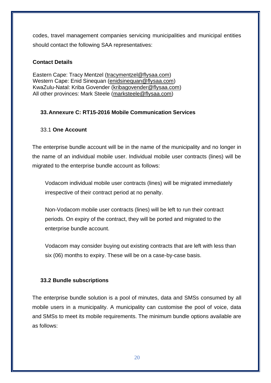codes, travel management companies servicing municipalities and municipal entities should contact the following SAA representatives:

## **Contact Details**

Eastern Cape: Tracy Mentzel [\(tracymentzel@flysaa.com\)](mailto:tracymentzel@flysaa.com) Western Cape: Enid Sinequan [\(enidsinequan@flysaa.com\)](mailto:enidsinequan@flysaa.com) KwaZulu-Natal: Kriba Govender [\(kribagovender@flysaa.com\)](mailto:kribagovender@flysaa.com) All other provinces: Mark Steele [\(marksteele@flysaa.com\)](mailto:marksteele@flysaa.com)

## <span id="page-22-0"></span>**33.Annexure C: RT15-2016 Mobile Communication Services**

## 33.1 **One Account**

The enterprise bundle account will be in the name of the municipality and no longer in the name of an individual mobile user. Individual mobile user contracts (lines) will be migrated to the enterprise bundle account as follows:

Vodacom individual mobile user contracts (lines) will be migrated immediately irrespective of their contract period at no penalty.

Non-Vodacom mobile user contracts (lines) will be left to run their contract periods. On expiry of the contract, they will be ported and migrated to the enterprise bundle account.

Vodacom may consider buying out existing contracts that are left with less than six (06) months to expiry. These will be on a case-by-case basis.

## **33.2 Bundle subscriptions**

The enterprise bundle solution is a pool of minutes, data and SMSs consumed by all mobile users in a municipality. A municipality can customise the pool of voice, data and SMSs to meet its mobile requirements. The minimum bundle options available are as follows: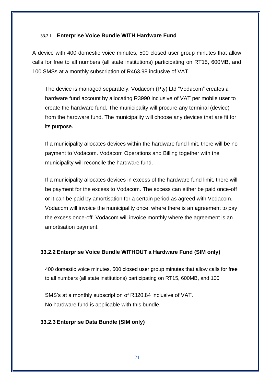#### **33.2.1 Enterprise Voice Bundle WITH Hardware Fund**

A device with 400 domestic voice minutes, 500 closed user group minutes that allow calls for free to all numbers (all state institutions) participating on RT15, 600MB, and 100 SMSs at a monthly subscription of R463.98 inclusive of VAT.

The device is managed separately. Vodacom (Pty) Ltd "Vodacom" creates a hardware fund account by allocating R3990 inclusive of VAT per mobile user to create the hardware fund. The municipality will procure any terminal (device) from the hardware fund. The municipality will choose any devices that are fit for its purpose.

If a municipality allocates devices within the hardware fund limit, there will be no payment to Vodacom. Vodacom Operations and Billing together with the municipality will reconcile the hardware fund.

If a municipality allocates devices in excess of the hardware fund limit, there will be payment for the excess to Vodacom. The excess can either be paid once-off or it can be paid by amortisation for a certain period as agreed with Vodacom. Vodacom will invoice the municipality once, where there is an agreement to pay the excess once-off. Vodacom will invoice monthly where the agreement is an amortisation payment.

## **33.2.2 Enterprise Voice Bundle WITHOUT a Hardware Fund (SIM only)**

400 domestic voice minutes, 500 closed user group minutes that allow calls for free to all numbers (all state institutions) participating on RT15, 600MB, and 100

SMS's at a monthly subscription of R320.84 inclusive of VAT. No hardware fund is applicable with this bundle.

## **33.2.3 Enterprise Data Bundle (SIM only)**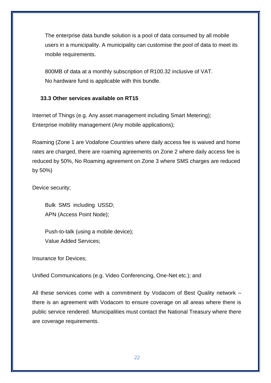The enterprise data bundle solution is a pool of data consumed by all mobile users in a municipality. A municipality can customise the pool of data to meet its mobile requirements.

800MB of data at a monthly subscription of R100.32 inclusive of VAT. No hardware fund is applicable with this bundle.

## **33.3 Other services available on RT15**

Internet of Things (e.g. Any asset management including Smart Metering); Enterprise mobility management (Any mobile applications);

Roaming (Zone 1 are Vodafone Countries where daily access fee is waived and home rates are charged, there are roaming agreements on Zone 2 where daily access fee is reduced by 50%, No Roaming agreement on Zone 3 where SMS charges are reduced by 50%)

Device security;

Bulk SMS including USSD; APN (Access Point Node);

Push-to-talk (using a mobile device); Value Added Services;

Insurance for Devices;

Unified Communications (e.g. Video Conferencing, One-Net etc.); and

All these services come with a commitment by Vodacom of Best Quality network – there is an agreement with Vodacom to ensure coverage on all areas where there is public service rendered. Municipalities must contact the National Treasury where there are coverage requirements.